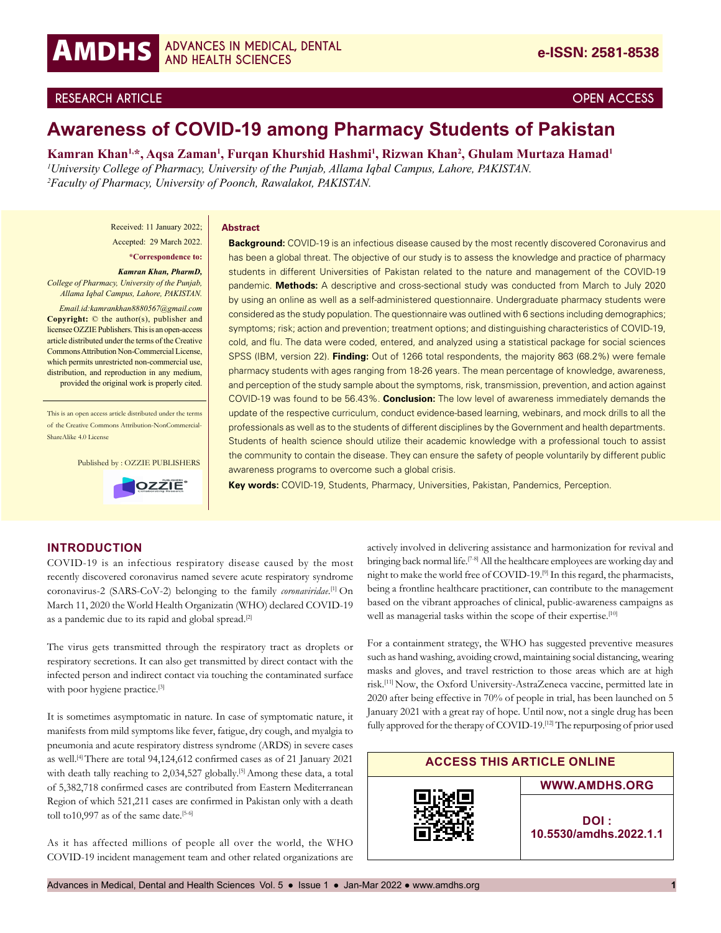

# **RESEARCH ARTICLE OPEN ACCESS**

# **Awareness of COVID-19 among Pharmacy Students of Pakistan**

**Kamran Khan1,\*, Aqsa Zaman1 , Furqan Khurshid Hashmi1 , Rizwan Khan2 , Ghulam Murtaza Hamad1** *1 University College of Pharmacy, University of the Punjab, Allama Iqbal Campus, Lahore, PAKISTAN. 2 Faculty of Pharmacy, University of Poonch, Rawalakot, PAKISTAN.*

Received: 11 January 2022;

Accepted: 29 March 2022. **\*Correspondence to:**

*Kamran Khan, PharmD, College of Pharmacy, University of the Punjab, Allama Iqbal Campus, Lahore, PAKISTAN.* 

*Email.id:kamrankhan8880567@gmail.com* **Copyright:** © the author(s), publisher and licensee OZZIE Publishers. This is an open-access article distributed under the terms of the Creative Commons Attribution Non-Commercial License, which permits unrestricted non-commercial use, distribution, and reproduction in any medium, provided the original work is properly cited.

This is an open access article distributed under the terms of the Creative Commons Attribution-NonCommercial-ShareAlike 4.0 License

Published by : OZZIE PUBLISHERS



#### **Abstract**

**Background:** COVID-19 is an infectious disease caused by the most recently discovered Coronavirus and has been a global threat. The objective of our study is to assess the knowledge and practice of pharmacy students in different Universities of Pakistan related to the nature and management of the COVID-19 pandemic. **Methods:** A descriptive and cross-sectional study was conducted from March to July 2020 by using an online as well as a self-administered questionnaire. Undergraduate pharmacy students were considered as the study population. The questionnaire was outlined with 6 sections including demographics; symptoms; risk; action and prevention; treatment options; and distinguishing characteristics of COVID-19, cold, and flu. The data were coded, entered, and analyzed using a statistical package for social sciences SPSS (IBM, version 22). **Finding:** Out of 1266 total respondents, the majority 863 (68.2%) were female pharmacy students with ages ranging from 18-26 years. The mean percentage of knowledge, awareness, and perception of the study sample about the symptoms, risk, transmission, prevention, and action against COVID-19 was found to be 56.43%. **Conclusion:** The low level of awareness immediately demands the update of the respective curriculum, conduct evidence-based learning, webinars, and mock drills to all the professionals as well as to the students of different disciplines by the Government and health departments. Students of health science should utilize their academic knowledge with a professional touch to assist the community to contain the disease. They can ensure the safety of people voluntarily by different public awareness programs to overcome such a global crisis.

**Key words:** COVID-19, Students, Pharmacy, Universities, Pakistan, Pandemics, Perception.

## **INTRODUCTION**

COVID-19 is an infectious respiratory disease caused by the most recently discovered coronavirus named severe acute respiratory syndrome coronavirus-2 (SARS-CoV-2) belonging to the family *coronaviridae*. [1] On March 11, 2020 the World Health Organizatin (WHO) declared COVID-19 as a pandemic due to its rapid and global spread.<sup>[2]</sup>

The virus gets transmitted through the respiratory tract as droplets or respiratory secretions. It can also get transmitted by direct contact with the infected person and indirect contact via touching the contaminated surface with poor hygiene practice.<sup>[3]</sup>

It is sometimes asymptomatic in nature. In case of symptomatic nature, it manifests from mild symptoms like fever, fatigue, dry cough, and myalgia to pneumonia and acute respiratory distress syndrome (ARDS) in severe cases as well.[4] There are total 94,124,612 confirmed cases as of 21 January 2021 with death tally reaching to 2,034,527 globally.<sup>[5]</sup> Among these data, a total of 5,382,718 confirmed cases are contributed from Eastern Mediterranean Region of which 521,211 cases are confirmed in Pakistan only with a death toll to10,997 as of the same date.<sup>[5-6]</sup>

As it has affected millions of people all over the world, the WHO COVID-19 incident management team and other related organizations are

actively involved in delivering assistance and harmonization for revival and bringing back normal life.<sup>[7-8]</sup> All the healthcare employees are working day and night to make the world free of COVID-19.<sup>[9]</sup> In this regard, the pharmacists, being a frontline healthcare practitioner, can contribute to the management based on the vibrant approaches of clinical, public-awareness campaigns as well as managerial tasks within the scope of their expertise.<sup>[10]</sup>

For a containment strategy, the WHO has suggested preventive measures such as hand washing, avoiding crowd, maintaining social distancing, wearing masks and gloves, and travel restriction to those areas which are at high risk.[11] Now, the Oxford University-AstraZeneca vaccine, permitted late in 2020 after being effective in 70% of people in trial, has been launched on 5 January 2021 with a great ray of hope. Until now, not a single drug has been fully approved for the therapy of COVID-19.<sup>[12]</sup> The repurposing of prior used

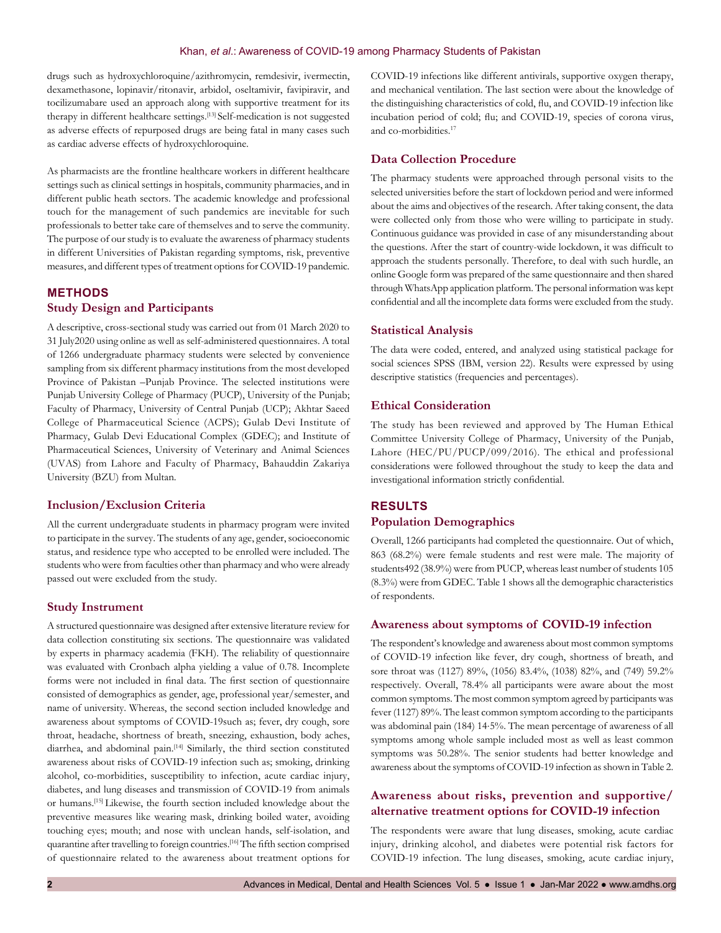drugs such as hydroxychloroquine/azithromycin, remdesivir, ivermectin, dexamethasone, lopinavir/ritonavir, arbidol, oseltamivir, favipiravir, and tocilizumabare used an approach along with supportive treatment for its therapy in different healthcare settings.[13] Self-medication is not suggested as adverse effects of repurposed drugs are being fatal in many cases such as cardiac adverse effects of hydroxychloroquine.

As pharmacists are the frontline healthcare workers in different healthcare settings such as clinical settings in hospitals, community pharmacies, and in different public heath sectors. The academic knowledge and professional touch for the management of such pandemics are inevitable for such professionals to better take care of themselves and to serve the community. The purpose of our study is to evaluate the awareness of pharmacy students in different Universities of Pakistan regarding symptoms, risk, preventive measures, and different types of treatment options for COVID-19 pandemic.

# **METHODS Study Design and Participants**

A descriptive, cross-sectional study was carried out from 01 March 2020 to 31 July2020 using online as well as self-administered questionnaires. A total of 1266 undergraduate pharmacy students were selected by convenience sampling from six different pharmacy institutions from the most developed Province of Pakistan –Punjab Province. The selected institutions were Punjab University College of Pharmacy (PUCP), University of the Punjab; Faculty of Pharmacy, University of Central Punjab (UCP); Akhtar Saeed College of Pharmaceutical Science (ACPS); Gulab Devi Institute of Pharmacy, Gulab Devi Educational Complex (GDEC); and Institute of Pharmaceutical Sciences, University of Veterinary and Animal Sciences (UVAS) from Lahore and Faculty of Pharmacy, Bahauddin Zakariya University (BZU) from Multan.

#### **Inclusion/Exclusion Criteria**

All the current undergraduate students in pharmacy program were invited to participate in the survey. The students of any age, gender, socioeconomic status, and residence type who accepted to be enrolled were included. The students who were from faculties other than pharmacy and who were already passed out were excluded from the study.

#### **Study Instrument**

A structured questionnaire was designed after extensive literature review for data collection constituting six sections. The questionnaire was validated by experts in pharmacy academia (FKH). The reliability of questionnaire was evaluated with Cronbach alpha yielding a value of 0.78. Incomplete forms were not included in final data. The first section of questionnaire consisted of demographics as gender, age, professional year/semester, and name of university. Whereas, the second section included knowledge and awareness about symptoms of COVID-19such as; fever, dry cough, sore throat, headache, shortness of breath, sneezing, exhaustion, body aches, diarrhea, and abdominal pain.[14] Similarly, the third section constituted awareness about risks of COVID-19 infection such as; smoking, drinking alcohol, co-morbidities, susceptibility to infection, acute cardiac injury, diabetes, and lung diseases and transmission of COVID-19 from animals or humans.[15] Likewise, the fourth section included knowledge about the preventive measures like wearing mask, drinking boiled water, avoiding touching eyes; mouth; and nose with unclean hands, self-isolation, and quarantine after travelling to foreign countries.<sup>[16]</sup> The fifth section comprised of questionnaire related to the awareness about treatment options for

COVID-19 infections like different antivirals, supportive oxygen therapy, and mechanical ventilation. The last section were about the knowledge of the distinguishing characteristics of cold, flu, and COVID-19 infection like incubation period of cold; flu; and COVID-19, species of corona virus, and co-morbidities.<sup>17</sup>

### **Data Collection Procedure**

The pharmacy students were approached through personal visits to the selected universities before the start of lockdown period and were informed about the aims and objectives of the research. After taking consent, the data were collected only from those who were willing to participate in study. Continuous guidance was provided in case of any misunderstanding about the questions. After the start of country-wide lockdown, it was difficult to approach the students personally. Therefore, to deal with such hurdle, an online Google form was prepared of the same questionnaire and then shared through WhatsApp application platform. The personal information was kept confidential and all the incomplete data forms were excluded from the study.

#### **Statistical Analysis**

The data were coded, entered, and analyzed using statistical package for social sciences SPSS (IBM, version 22). Results were expressed by using descriptive statistics (frequencies and percentages).

### **Ethical Consideration**

The study has been reviewed and approved by The Human Ethical Committee University College of Pharmacy, University of the Punjab, Lahore (HEC/PU/PUCP/099/2016). The ethical and professional considerations were followed throughout the study to keep the data and investigational information strictly confidential.

# **RESULTS Population Demographics**

Overall, 1266 participants had completed the questionnaire. Out of which, 863 (68.2%) were female students and rest were male. The majority of students492 (38.9%) were from PUCP, whereas least number of students 105 (8.3%) were from GDEC. Table 1 shows all the demographic characteristics of respondents.

#### **Awareness about symptoms of COVID-19 infection**

The respondent's knowledge and awareness about most common symptoms of COVID-19 infection like fever, dry cough, shortness of breath, and sore throat was (1127) 89%, (1056) 83.4%, (1038) 82%, and (749) 59.2% respectively. Overall, 78.4% all participants were aware about the most common symptoms. The most common symptom agreed by participants was fever (1127) 89%. The least common symptom according to the participants was abdominal pain (184) 14⋅5%. The mean percentage of awareness of all symptoms among whole sample included most as well as least common symptoms was 50.28%. The senior students had better knowledge and awareness about the symptoms of COVID-19 infection as shown in Table 2.

# **Awareness about risks, prevention and supportive/ alternative treatment options for COVID-19 infection**

The respondents were aware that lung diseases, smoking, acute cardiac injury, drinking alcohol, and diabetes were potential risk factors for COVID-19 infection. The lung diseases, smoking, acute cardiac injury,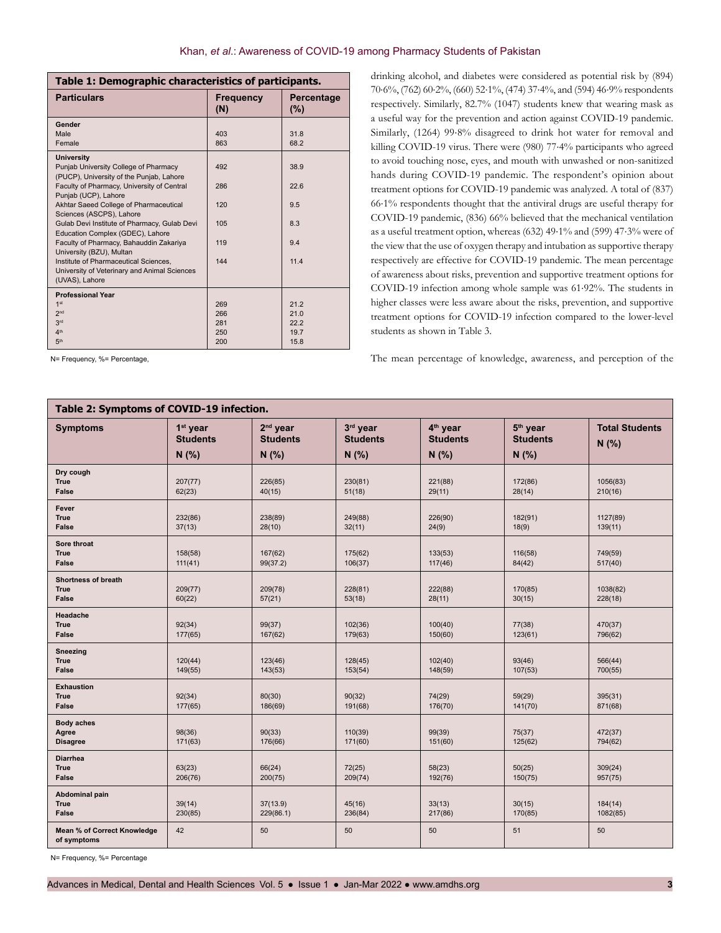| <b>Particulars</b><br>Percentage<br><b>Frequency</b><br>(N)<br>(%)<br>Gender<br>Male<br>403<br>31.8<br>863<br>68.2<br>Female<br><b>University</b><br>Punjab University College of Pharmacy<br>492<br>38.9<br>(PUCP), University of the Punjab, Lahore<br>Faculty of Pharmacy, University of Central<br>22.6<br>286<br>Punjab (UCP), Lahore<br>Akhtar Saeed College of Pharmaceutical<br>120<br>9.5<br>Sciences (ASCPS), Lahore<br>8.3<br>Gulab Devi Institute of Pharmacy, Gulab Devi<br>105<br>Education Complex (GDEC), Lahore<br>Faculty of Pharmacy, Bahauddin Zakariya<br>119<br>9.4<br>University (BZU), Multan<br>Institute of Pharmaceutical Sciences.<br>144<br>11.4<br>University of Veterinary and Animal Sciences<br>(UVAS), Lahore<br><b>Professional Year</b><br>1 <sup>st</sup><br>21.2<br>269<br>2 <sub>nd</sub><br>266<br>21.0<br>3rd<br>281<br>22.2<br>4 <sup>th</sup><br>19.7<br>250<br>5 <sup>th</sup><br>200<br>15.8 | Table 1: Demographic characteristics of participants. |  |  |  |  |  |
|-------------------------------------------------------------------------------------------------------------------------------------------------------------------------------------------------------------------------------------------------------------------------------------------------------------------------------------------------------------------------------------------------------------------------------------------------------------------------------------------------------------------------------------------------------------------------------------------------------------------------------------------------------------------------------------------------------------------------------------------------------------------------------------------------------------------------------------------------------------------------------------------------------------------------------------------|-------------------------------------------------------|--|--|--|--|--|
|                                                                                                                                                                                                                                                                                                                                                                                                                                                                                                                                                                                                                                                                                                                                                                                                                                                                                                                                           |                                                       |  |  |  |  |  |
|                                                                                                                                                                                                                                                                                                                                                                                                                                                                                                                                                                                                                                                                                                                                                                                                                                                                                                                                           |                                                       |  |  |  |  |  |
|                                                                                                                                                                                                                                                                                                                                                                                                                                                                                                                                                                                                                                                                                                                                                                                                                                                                                                                                           |                                                       |  |  |  |  |  |
|                                                                                                                                                                                                                                                                                                                                                                                                                                                                                                                                                                                                                                                                                                                                                                                                                                                                                                                                           |                                                       |  |  |  |  |  |
|                                                                                                                                                                                                                                                                                                                                                                                                                                                                                                                                                                                                                                                                                                                                                                                                                                                                                                                                           |                                                       |  |  |  |  |  |
|                                                                                                                                                                                                                                                                                                                                                                                                                                                                                                                                                                                                                                                                                                                                                                                                                                                                                                                                           |                                                       |  |  |  |  |  |
|                                                                                                                                                                                                                                                                                                                                                                                                                                                                                                                                                                                                                                                                                                                                                                                                                                                                                                                                           |                                                       |  |  |  |  |  |
|                                                                                                                                                                                                                                                                                                                                                                                                                                                                                                                                                                                                                                                                                                                                                                                                                                                                                                                                           |                                                       |  |  |  |  |  |
|                                                                                                                                                                                                                                                                                                                                                                                                                                                                                                                                                                                                                                                                                                                                                                                                                                                                                                                                           |                                                       |  |  |  |  |  |
|                                                                                                                                                                                                                                                                                                                                                                                                                                                                                                                                                                                                                                                                                                                                                                                                                                                                                                                                           |                                                       |  |  |  |  |  |
|                                                                                                                                                                                                                                                                                                                                                                                                                                                                                                                                                                                                                                                                                                                                                                                                                                                                                                                                           |                                                       |  |  |  |  |  |
|                                                                                                                                                                                                                                                                                                                                                                                                                                                                                                                                                                                                                                                                                                                                                                                                                                                                                                                                           |                                                       |  |  |  |  |  |
|                                                                                                                                                                                                                                                                                                                                                                                                                                                                                                                                                                                                                                                                                                                                                                                                                                                                                                                                           |                                                       |  |  |  |  |  |
|                                                                                                                                                                                                                                                                                                                                                                                                                                                                                                                                                                                                                                                                                                                                                                                                                                                                                                                                           |                                                       |  |  |  |  |  |
|                                                                                                                                                                                                                                                                                                                                                                                                                                                                                                                                                                                                                                                                                                                                                                                                                                                                                                                                           |                                                       |  |  |  |  |  |
|                                                                                                                                                                                                                                                                                                                                                                                                                                                                                                                                                                                                                                                                                                                                                                                                                                                                                                                                           |                                                       |  |  |  |  |  |
|                                                                                                                                                                                                                                                                                                                                                                                                                                                                                                                                                                                                                                                                                                                                                                                                                                                                                                                                           |                                                       |  |  |  |  |  |
|                                                                                                                                                                                                                                                                                                                                                                                                                                                                                                                                                                                                                                                                                                                                                                                                                                                                                                                                           |                                                       |  |  |  |  |  |
|                                                                                                                                                                                                                                                                                                                                                                                                                                                                                                                                                                                                                                                                                                                                                                                                                                                                                                                                           |                                                       |  |  |  |  |  |
|                                                                                                                                                                                                                                                                                                                                                                                                                                                                                                                                                                                                                                                                                                                                                                                                                                                                                                                                           |                                                       |  |  |  |  |  |
|                                                                                                                                                                                                                                                                                                                                                                                                                                                                                                                                                                                                                                                                                                                                                                                                                                                                                                                                           |                                                       |  |  |  |  |  |
|                                                                                                                                                                                                                                                                                                                                                                                                                                                                                                                                                                                                                                                                                                                                                                                                                                                                                                                                           |                                                       |  |  |  |  |  |
|                                                                                                                                                                                                                                                                                                                                                                                                                                                                                                                                                                                                                                                                                                                                                                                                                                                                                                                                           |                                                       |  |  |  |  |  |

N= Frequency, %= Percentage

drinking alcohol, and diabetes were considered as potential risk by (894) 70⋅6%, (762) 60⋅2%, (660) 52⋅1%, (474) 37⋅4%, and (594) 46⋅9% respondents respectively. Similarly, 82.7% (1047) students knew that wearing mask as a useful way for the prevention and action against COVID-19 pandemic. Similarly, (1264) 99⋅8% disagreed to drink hot water for removal and killing COVID-19 virus. There were (980) 77⋅4% participants who agreed to avoid touching nose, eyes, and mouth with unwashed or non-sanitized hands during COVID-19 pandemic. The respondent's opinion about treatment options for COVID-19 pandemic was analyzed. A total of (837) 66⋅1% respondents thought that the antiviral drugs are useful therapy for COVID-19 pandemic, (836) 66% believed that the mechanical ventilation as a useful treatment option, whereas (632) 49⋅1% and (599) 47⋅3% were of the view that the use of oxygen therapy and intubation as supportive therapy respectively are effective for COVID-19 pandemic. The mean percentage of awareness about risks, prevention and supportive treatment options for COVID-19 infection among whole sample was 61⋅92%. The students in higher classes were less aware about the risks, prevention, and supportive treatment options for COVID-19 infection compared to the lower-level students as shown in Table 3.

The mean percentage of knowledge, awareness, and perception of the

| Table 2: Symptoms of COVID-19 infection.           |                                                  |                                        |                                      |                                                |                                                  |                                |
|----------------------------------------------------|--------------------------------------------------|----------------------------------------|--------------------------------------|------------------------------------------------|--------------------------------------------------|--------------------------------|
| <b>Symptoms</b>                                    | 1 <sup>st</sup> year<br><b>Students</b><br>N(% ) | $2nd$ year<br><b>Students</b><br>N(% ) | 3rd year<br><b>Students</b><br>N(% ) | 4 <sup>th</sup> year<br><b>Students</b><br>N(% | 5 <sup>th</sup> year<br><b>Students</b><br>N(% ) | <b>Total Students</b><br>N(% ) |
| Dry cough<br><b>True</b><br><b>False</b>           | 207(77)<br>62(23)                                | 226(85)<br>40(15)                      | 230(81)<br>51(18)                    | 221(88)<br>29(11)                              | 172(86)<br>28(14)                                | 1056(83)<br>210(16)            |
| Fever<br><b>True</b><br><b>False</b>               | 232(86)<br>37(13)                                | 238(89)<br>28(10)                      | 249(88)<br>32(11)                    | 226(90)<br>24(9)                               | 182(91)<br>18(9)                                 | 1127(89)<br>139(11)            |
| Sore throat<br><b>True</b><br>False                | 158(58)<br>111(41)                               | 167(62)<br>99(37.2)                    | 175(62)<br>106(37)                   | 133(53)<br>117(46)                             | 116(58)<br>84(42)                                | 749(59)<br>517(40)             |
| <b>Shortness of breath</b><br><b>True</b><br>False | 209(77)<br>60(22)                                | 209(78)<br>57(21)                      | 228(81)<br>53(18)                    | 222(88)<br>28(11)                              | 170(85)<br>30(15)                                | 1038(82)<br>228(18)            |
| Headache<br><b>True</b><br>False                   | 92(34)<br>177(65)                                | 99(37)<br>167(62)                      | 102(36)<br>179(63)                   | 100(40)<br>150(60)                             | 77(38)<br>123(61)                                | 470(37)<br>796(62)             |
| Sneezing<br><b>True</b><br>False                   | 120(44)<br>149(55)                               | 123(46)<br>143(53)                     | 128(45)<br>153(54)                   | 102(40)<br>148(59)                             | 93(46)<br>107(53)                                | 566(44)<br>700(55)             |
| <b>Exhaustion</b><br><b>True</b><br>False          | 92(34)<br>177(65)                                | 80(30)<br>186(69)                      | 90(32)<br>191(68)                    | 74(29)<br>176(70)                              | 59(29)<br>141(70)                                | 395(31)<br>871(68)             |
| <b>Body aches</b><br>Agree<br><b>Disagree</b>      | 98(36)<br>171(63)                                | 90(33)<br>176(66)                      | 110(39)<br>171(60)                   | 99(39)<br>151(60)                              | 75(37)<br>125(62)                                | 472(37)<br>794(62)             |
| <b>Diarrhea</b><br><b>True</b><br><b>False</b>     | 63(23)<br>206(76)                                | 66(24)<br>200(75)                      | 72(25)<br>209(74)                    | 58(23)<br>192(76)                              | 50(25)<br>150(75)                                | 309(24)<br>957(75)             |
| Abdominal pain<br><b>True</b><br>False             | 39(14)<br>230(85)                                | 37(13.9)<br>229(86.1)                  | 45(16)<br>236(84)                    | 33(13)<br>217(86)                              | 30(15)<br>170(85)                                | 184(14)<br>1082(85)            |
| Mean % of Correct Knowledge<br>of symptoms         | 42                                               | 50                                     | 50                                   | 50                                             | 51                                               | 50                             |

N= Frequency, %= Percentage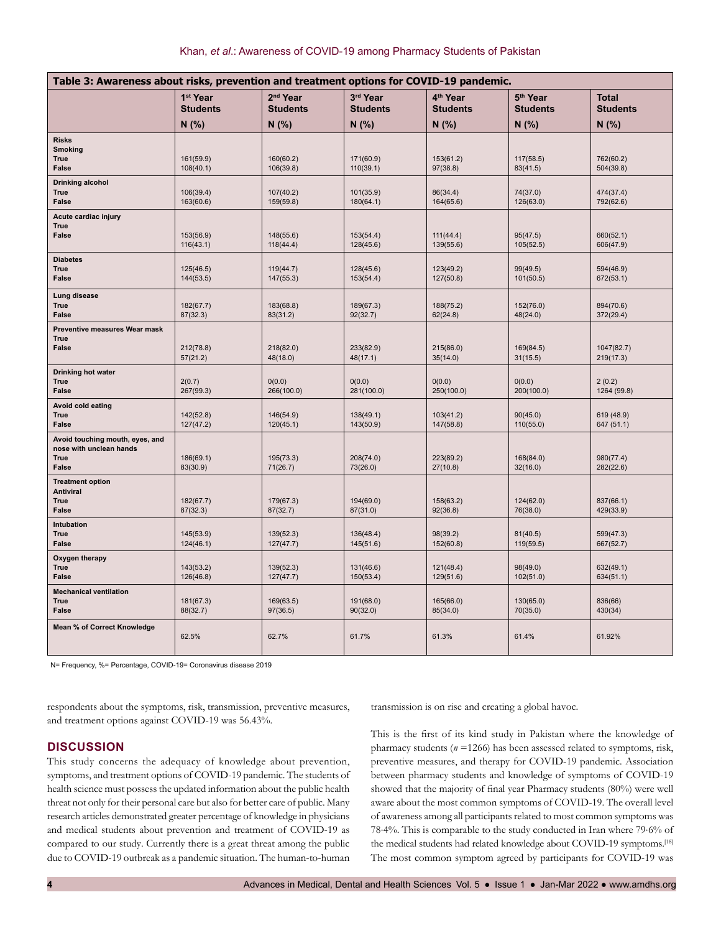| Table 3: Awareness about risks, prevention and treatment options for COVID-19 pandemic. |                                         |                                         |                             |                                         |                                         |                                 |
|-----------------------------------------------------------------------------------------|-----------------------------------------|-----------------------------------------|-----------------------------|-----------------------------------------|-----------------------------------------|---------------------------------|
|                                                                                         | 1 <sup>st</sup> Year<br><b>Students</b> | 2 <sup>nd</sup> Year<br><b>Students</b> | 3rd Year<br><b>Students</b> | 4 <sup>th</sup> Year<br><b>Students</b> | 5 <sup>th</sup> Year<br><b>Students</b> | <b>Total</b><br><b>Students</b> |
|                                                                                         | N(% )                                   | N(% )                                   | N(% )                       | N(% )                                   | N(% )                                   | N(% )                           |
| <b>Risks</b><br><b>Smoking</b><br><b>True</b><br><b>False</b>                           | 161(59.9)<br>108(40.1)                  | 160(60.2)<br>106(39.8)                  | 171(60.9)<br>110(39.1)      | 153(61.2)<br>97(38.8)                   | 117(58.5)<br>83(41.5)                   | 762(60.2)<br>504(39.8)          |
| Drinking alcohol<br><b>True</b><br><b>False</b>                                         | 106(39.4)<br>163(60.6)                  | 107(40.2)<br>159(59.8)                  | 101(35.9)<br>180(64.1)      | 86(34.4)<br>164(65.6)                   | 74(37.0)<br>126(63.0)                   | 474(37.4)<br>792(62.6)          |
| Acute cardiac injury<br><b>True</b><br><b>False</b>                                     | 153(56.9)<br>116(43.1)                  | 148(55.6)<br>118(44.4)                  | 153(54.4)<br>128(45.6)      | 111(44.4)<br>139(55.6)                  | 95(47.5)<br>105(52.5)                   | 660(52.1)<br>606(47.9)          |
| <b>Diabetes</b><br><b>True</b><br><b>False</b>                                          | 125(46.5)<br>144(53.5)                  | 119(44.7)<br>147(55.3)                  | 128(45.6)<br>153(54.4)      | 123(49.2)<br>127(50.8)                  | 99(49.5)<br>101(50.5)                   | 594(46.9)<br>672(53.1)          |
| Lung disease<br><b>True</b><br><b>False</b>                                             | 182(67.7)<br>87(32.3)                   | 183(68.8)<br>83(31.2)                   | 189(67.3)<br>92(32.7)       | 188(75.2)<br>62(24.8)                   | 152(76.0)<br>48(24.0)                   | 894(70.6)<br>372(29.4)          |
| Preventive measures Wear mask<br>True<br>False                                          | 212(78.8)<br>57(21.2)                   | 218(82.0)<br>48(18.0)                   | 233(82.9)<br>48(17.1)       | 215(86.0)<br>35(14.0)                   | 169(84.5)<br>31(15.5)                   | 1047(82.7)<br>219(17.3)         |
| Drinking hot water<br><b>True</b><br><b>False</b>                                       | 2(0.7)<br>267(99.3)                     | 0(0.0)<br>266(100.0)                    | 0(0.0)<br>281(100.0)        | 0(0.0)<br>250(100.0)                    | 0(0.0)<br>200(100.0)                    | 2(0.2)<br>1264 (99.8)           |
| Avoid cold eating<br><b>True</b><br><b>False</b>                                        | 142(52.8)<br>127(47.2)                  | 146(54.9)<br>120(45.1)                  | 138(49.1)<br>143(50.9)      | 103(41.2)<br>147(58.8)                  | 90(45.0)<br>110(55.0)                   | 619 (48.9)<br>647 (51.1)        |
| Avoid touching mouth, eyes, and<br>nose with unclean hands<br><b>True</b><br>False      | 186(69.1)<br>83(30.9)                   | 195(73.3)<br>71(26.7)                   | 208(74.0)<br>73(26.0)       | 223(89.2)<br>27(10.8)                   | 168(84.0)<br>32(16.0)                   | 980(77.4)<br>282(22.6)          |
| <b>Treatment option</b><br><b>Antiviral</b><br><b>True</b><br><b>False</b>              | 182(67.7)<br>87(32.3)                   | 179(67.3)<br>87(32.7)                   | 194(69.0)<br>87(31.0)       | 158(63.2)<br>92(36.8)                   | 124(62.0)<br>76(38.0)                   | 837(66.1)<br>429(33.9)          |
| Intubation<br><b>True</b><br><b>False</b>                                               | 145(53.9)<br>124(46.1)                  | 139(52.3)<br>127(47.7)                  | 136(48.4)<br>145(51.6)      | 98(39.2)<br>152(60.8)                   | 81(40.5)<br>119(59.5)                   | 599(47.3)<br>667(52.7)          |
| Oxygen therapy<br><b>True</b><br><b>False</b>                                           | 143(53.2)<br>126(46.8)                  | 139(52.3)<br>127(47.7)                  | 131(46.6)<br>150(53.4)      | 121(48.4)<br>129(51.6)                  | 98(49.0)<br>102(51.0)                   | 632(49.1)<br>634(51.1)          |
| <b>Mechanical ventilation</b><br><b>True</b><br><b>False</b>                            | 181(67.3)<br>88(32.7)                   | 169(63.5)<br>97(36.5)                   | 191(68.0)<br>90(32.0)       | 165(66.0)<br>85(34.0)                   | 130(65.0)<br>70(35.0)                   | 836(66)<br>430(34)              |
| Mean % of Correct Knowledge                                                             | 62.5%                                   | 62.7%                                   | 61.7%                       | 61.3%                                   | 61.4%                                   | 61.92%                          |

N= Frequency, %= Percentage, COVID-19= Coronavirus disease 2019

respondents about the symptoms, risk, transmission, preventive measures, and treatment options against COVID-19 was 56.43%.

transmission is on rise and creating a global havoc.

#### **DISCUSSION**

This study concerns the adequacy of knowledge about prevention, symptoms, and treatment options of COVID-19 pandemic. The students of health science must possess the updated information about the public health threat not only for their personal care but also for better care of public. Many research articles demonstrated greater percentage of knowledge in physicians and medical students about prevention and treatment of COVID-19 as compared to our study. Currently there is a great threat among the public due to COVID-19 outbreak as a pandemic situation. The human-to-human

This is the first of its kind study in Pakistan where the knowledge of pharmacy students (*n* =1266) has been assessed related to symptoms, risk, preventive measures, and therapy for COVID-19 pandemic. Association between pharmacy students and knowledge of symptoms of COVID-19 showed that the majority of final year Pharmacy students (80%) were well aware about the most common symptoms of COVID-19. The overall level of awareness among all participants related to most common symptoms was 78⋅4%. This is comparable to the study conducted in Iran where 79⋅6% of the medical students had related knowledge about COVID-19 symptoms.<sup>[18]</sup> The most common symptom agreed by participants for COVID-19 was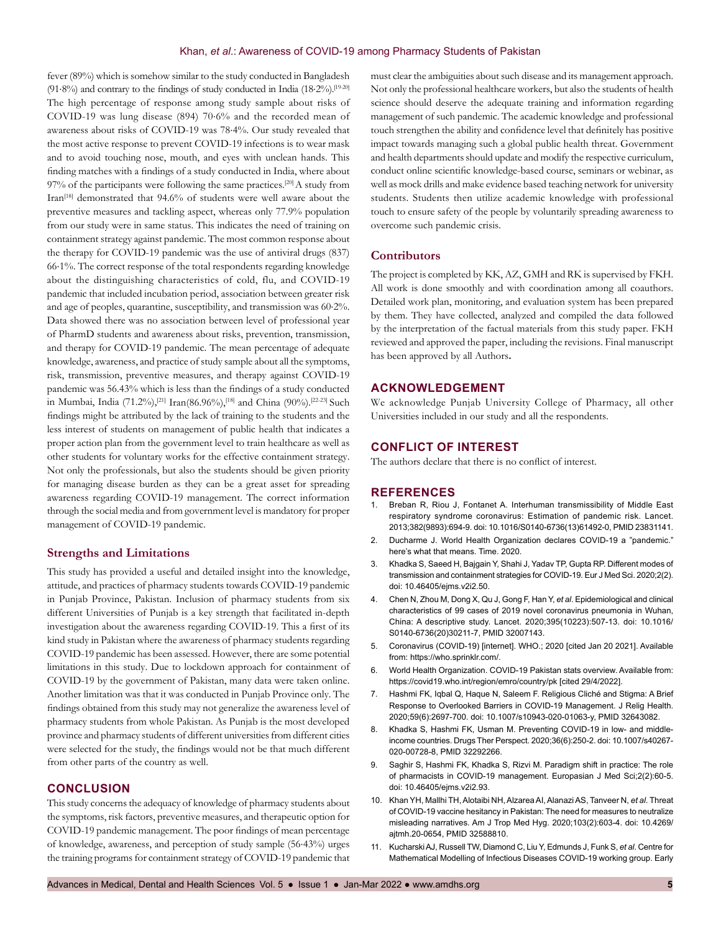fever (89%) which is somehow similar to the study conducted in Bangladesh (91⋅8%) and contrary to the findings of study conducted in India (18⋅2%).[19-20] The high percentage of response among study sample about risks of COVID-19 was lung disease (894) 70⋅6% and the recorded mean of awareness about risks of COVID-19 was 78⋅4%. Our study revealed that the most active response to prevent COVID-19 infections is to wear mask and to avoid touching nose, mouth, and eyes with unclean hands. This finding matches with a findings of a study conducted in India, where about 97% of the participants were following the same practices.<sup>[20]</sup> A study from Iran[18] demonstrated that 94.6% of students were well aware about the preventive measures and tackling aspect, whereas only 77.9% population from our study were in same status. This indicates the need of training on containment strategy against pandemic. The most common response about the therapy for COVID-19 pandemic was the use of antiviral drugs (837) 66⋅1%. The correct response of the total respondents regarding knowledge about the distinguishing characteristics of cold, flu, and COVID-19 pandemic that included incubation period, association between greater risk and age of peoples, quarantine, susceptibility, and transmission was 60⋅2%. Data showed there was no association between level of professional year of PharmD students and awareness about risks, prevention, transmission, and therapy for COVID-19 pandemic. The mean percentage of adequate knowledge, awareness, and practice of study sample about all the symptoms, risk, transmission, preventive measures, and therapy against COVID-19 pandemic was 56.43% which is less than the findings of a study conducted in Mumbai, India (71.2%),<sup>[21]</sup> Iran(86.96%),<sup>[18]</sup> and China (90%).<sup>[22-23]</sup> Such findings might be attributed by the lack of training to the students and the less interest of students on management of public health that indicates a proper action plan from the government level to train healthcare as well as other students for voluntary works for the effective containment strategy. Not only the professionals, but also the students should be given priority for managing disease burden as they can be a great asset for spreading awareness regarding COVID-19 management. The correct information through the social media and from government level is mandatory for proper management of COVID-19 pandemic.

#### **Strengths and Limitations**

This study has provided a useful and detailed insight into the knowledge, attitude, and practices of pharmacy students towards COVID-19 pandemic in Punjab Province, Pakistan. Inclusion of pharmacy students from six different Universities of Punjab is a key strength that facilitated in-depth investigation about the awareness regarding COVID-19. This a first of its kind study in Pakistan where the awareness of pharmacy students regarding COVID-19 pandemic has been assessed. However, there are some potential limitations in this study. Due to lockdown approach for containment of COVID-19 by the government of Pakistan, many data were taken online. Another limitation was that it was conducted in Punjab Province only. The findings obtained from this study may not generalize the awareness level of pharmacy students from whole Pakistan. As Punjab is the most developed province and pharmacy students of different universities from different cities were selected for the study, the findings would not be that much different from other parts of the country as well.

#### **CONCLUSION**

This study concerns the adequacy of knowledge of pharmacy students about the symptoms, risk factors, preventive measures, and therapeutic option for COVID-19 pandemic management. The poor findings of mean percentage of knowledge, awareness, and perception of study sample (56⋅43%) urges the training programs for containment strategy of COVID-19 pandemic that must clear the ambiguities about such disease and its management approach. Not only the professional healthcare workers, but also the students of health science should deserve the adequate training and information regarding management of such pandemic. The academic knowledge and professional touch strengthen the ability and confidence level that definitely has positive impact towards managing such a global public health threat. Government and health departments should update and modify the respective curriculum, conduct online scientific knowledge-based course, seminars or webinar, as well as mock drills and make evidence based teaching network for university students. Students then utilize academic knowledge with professional touch to ensure safety of the people by voluntarily spreading awareness to overcome such pandemic crisis.

#### **Contributors**

The project is completed by KK, AZ, GMH and RK is supervised by FKH. All work is done smoothly and with coordination among all coauthors. Detailed work plan, monitoring, and evaluation system has been prepared by them. They have collected, analyzed and compiled the data followed by the interpretation of the factual materials from this study paper. FKH reviewed and approved the paper, including the revisions. Final manuscript has been approved by all Authors**.**

#### **ACKNOWLEDGEMENT**

We acknowledge Punjab University College of Pharmacy, all other Universities included in our study and all the respondents.

#### **CONFLICT OF INTEREST**

The authors declare that there is no conflict of interest.

#### **REFERENCES**

- 1. Breban R, Riou J, Fontanet A. Interhuman transmissibility of Middle East respiratory syndrome coronavirus: Estimation of pandemic risk. Lancet. 2013;382(9893):694-9. doi: 10.1016/S0140-6736(13)61492-0, PMID 23831141.
- 2. Ducharme J. World Health Organization declares COVID-19 a "pandemic." here's what that means. Time. 2020.
- 3. Khadka S, Saeed H, Bajgain Y, Shahi J, Yadav TP, Gupta RP. Different modes of transmission and containment strategies for COVID-19. Eur J Med Sci. 2020;2(2). doi: 10.46405/ejms.v2i2.50.
- 4. Chen N, Zhou M, Dong X, Qu J, Gong F, Han Y, *et al*. Epidemiological and clinical characteristics of 99 cases of 2019 novel coronavirus pneumonia in Wuhan, China: A descriptive study. Lancet. 2020;395(10223):507-13. doi: 10.1016/ S0140-6736(20)30211-7, PMID 32007143.
- 5. Coronavirus (COVID-19) [internet]. WHO.; 2020 [cited Jan 20 2021]. Available from: https://who.sprinklr.com/.
- 6. World Health Organization. COVID-19 Pakistan stats overview. Available from: https://covid19.who.int/region/emro/country/pk [cited 29/4/2022].
- 7. Hashmi FK, Iqbal Q, Haque N, Saleem F. Religious Cliché and Stigma: A Brief Response to Overlooked Barriers in COVID-19 Management. J Relig Health. 2020;59(6):2697-700. doi: 10.1007/s10943-020-01063-y, PMID 32643082.
- 8. Khadka S, Hashmi FK, Usman M. Preventing COVID-19 in low- and middleincome countries. Drugs Ther Perspect. 2020;36(6):250-2. doi: 10.1007/s40267- 020-00728-8, PMID 32292266.
- 9. Saghir S, Hashmi FK, Khadka S, Rizvi M. Paradigm shift in practice: The role of pharmacists in COVID-19 management. Europasian J Med Sci;2(2):60-5. doi: 10.46405/ejms.v2i2.93.
- 10. Khan YH, Mallhi TH, Alotaibi NH, Alzarea AI, Alanazi AS, Tanveer N, *et al*. Threat of COVID-19 vaccine hesitancy in Pakistan: The need for measures to neutralize misleading narratives. Am J Trop Med Hyg. 2020;103(2):603-4. doi: 10.4269/ ajtmh.20-0654, PMID 32588810.
- 11. Kucharski AJ, Russell TW, Diamond C, Liu Y, Edmunds J, Funk S, *et al*. Centre for Mathematical Modelling of Infectious Diseases COVID-19 working group. Early